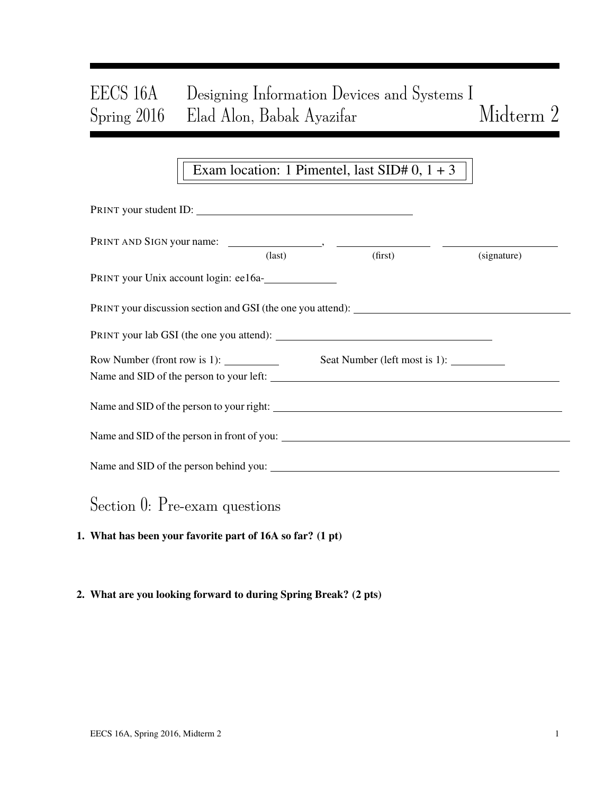# EECS 16A Designing Information Devices and Systems I Spring 2016 Elad Alon, Babak Ayazifar Midterm 2

## Exam location: 1 Pimentel, last  $SID# 0$ ,  $1 + 3$

| PRINT your student ID:                     |                 |  |         |             |  |  |  |  |
|--------------------------------------------|-----------------|--|---------|-------------|--|--|--|--|
|                                            | $\text{(last)}$ |  | (first) | (signature) |  |  |  |  |
| PRINT your Unix account login: ee16a-      |                 |  |         |             |  |  |  |  |
|                                            |                 |  |         |             |  |  |  |  |
|                                            |                 |  |         |             |  |  |  |  |
| Row Number (front row is 1): $\frac{1}{2}$ |                 |  |         |             |  |  |  |  |
|                                            |                 |  |         |             |  |  |  |  |
|                                            |                 |  |         |             |  |  |  |  |
|                                            |                 |  |         |             |  |  |  |  |
| Section 0: Pre-exam questions              |                 |  |         |             |  |  |  |  |

1. What has been your favorite part of 16A so far? (1 pt)

#### 2. What are you looking forward to during Spring Break? (2 pts)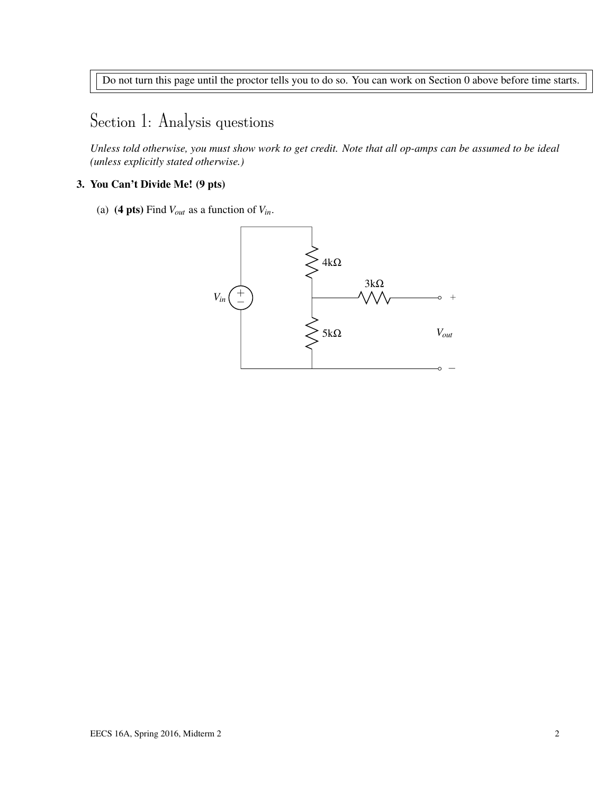Do not turn this page until the proctor tells you to do so. You can work on Section 0 above before time starts.

# Section 1: Analysis questions

*Unless told otherwise, you must show work to get credit. Note that all op-amps can be assumed to be ideal (unless explicitly stated otherwise.)*

#### 3. You Can't Divide Me! (9 pts)

(a) (4 pts) Find  $V_{out}$  as a function of  $V_{in}$ .

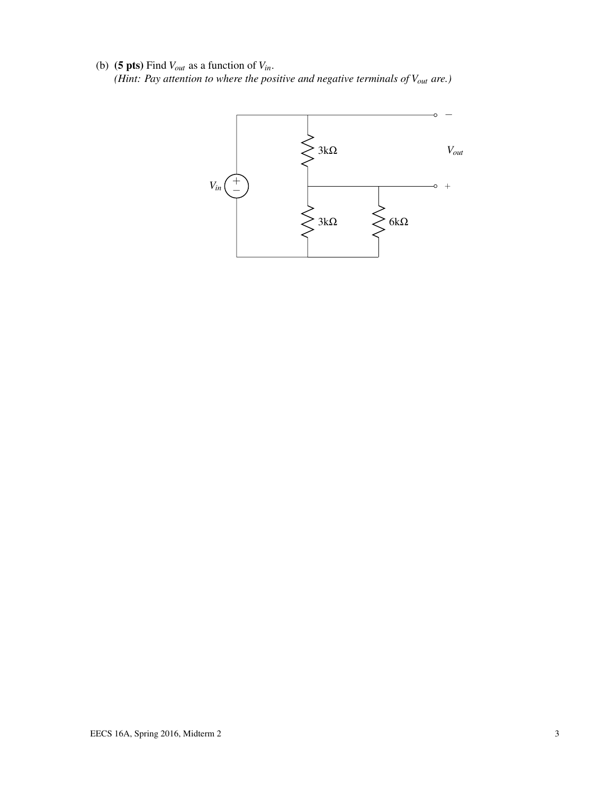(b) (**5 pts**) Find  $V_{out}$  as a function of  $V_{in}$ . *(Hint: Pay attention to where the positive and negative terminals of Vout are.)*

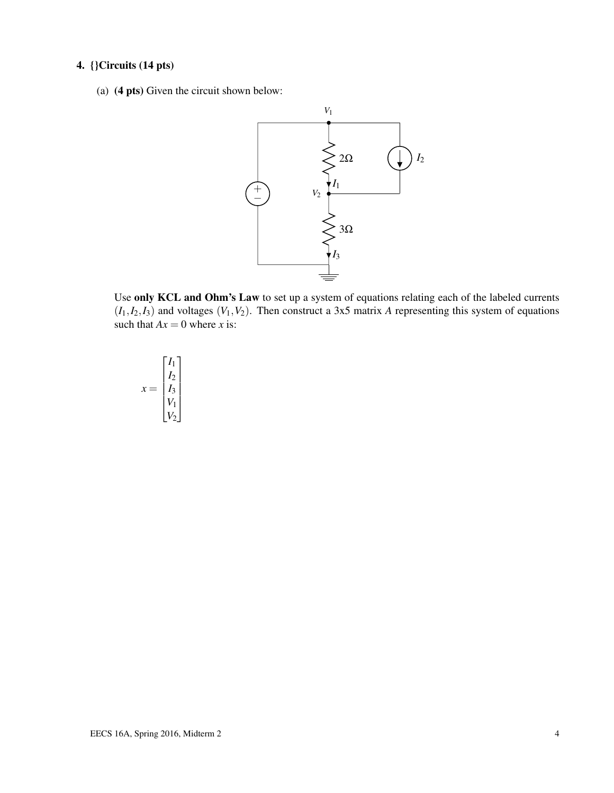### 4. {}Circuits (14 pts)

(a) (4 pts) Given the circuit shown below:



Use only KCL and Ohm's Law to set up a system of equations relating each of the labeled currents  $(I_1, I_2, I_3)$  and voltages  $(V_1, V_2)$ . Then construct a 3x5 matrix *A* representing this system of equations such that  $Ax = 0$  where *x* is:

$$
x = \begin{bmatrix} I_1 \\ I_2 \\ I_3 \\ V_1 \\ V_2 \end{bmatrix}
$$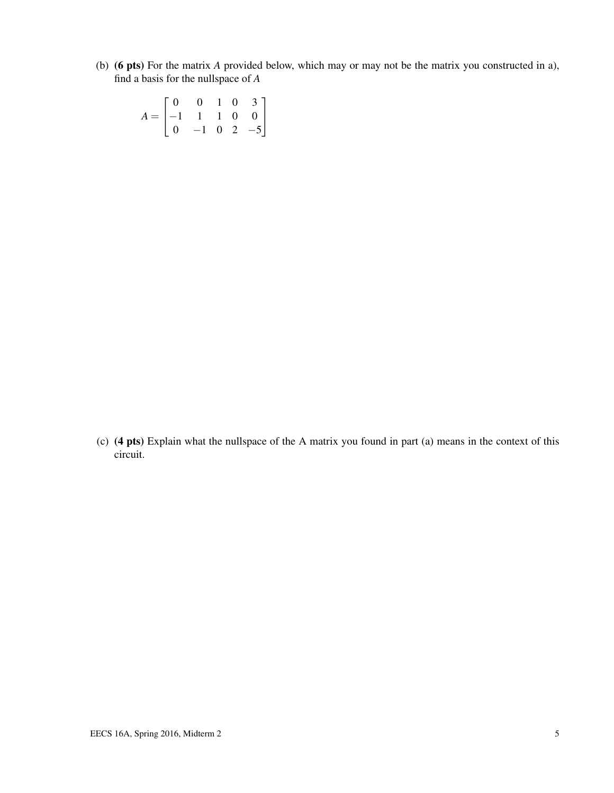(b) (6 pts) For the matrix *A* provided below, which may or may not be the matrix you constructed in a), find a basis for the nullspace of *A*

| $A = \begin{bmatrix} 0 & 0 & 1 & 0 & 3 \\ -1 & 1 & 1 & 0 & 0 \\ 0 & -1 & 0 & 2 & -5 \end{bmatrix}$ |  |  |  |
|----------------------------------------------------------------------------------------------------|--|--|--|

(c) (4 pts) Explain what the nullspace of the A matrix you found in part (a) means in the context of this circuit.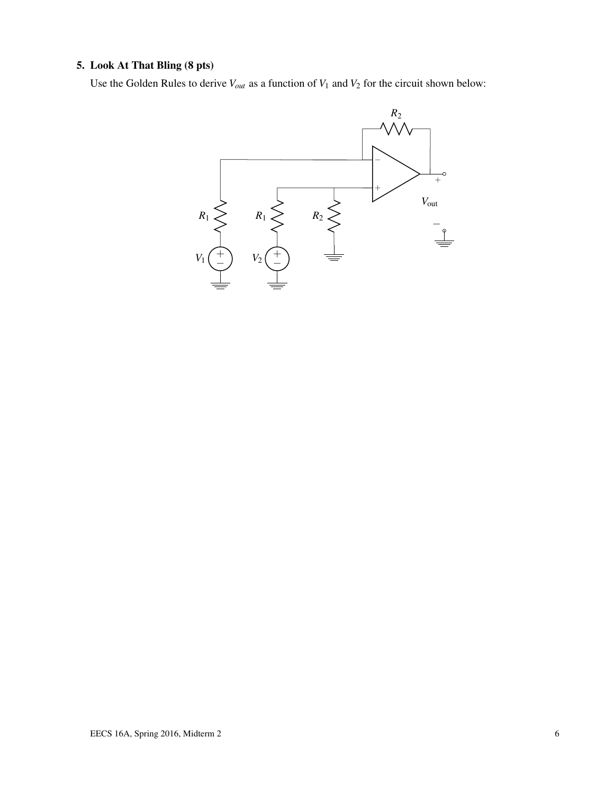### 5. Look At That Bling (8 pts)

Use the Golden Rules to derive  $V_{out}$  as a function of  $V_1$  and  $V_2$  for the circuit shown below:

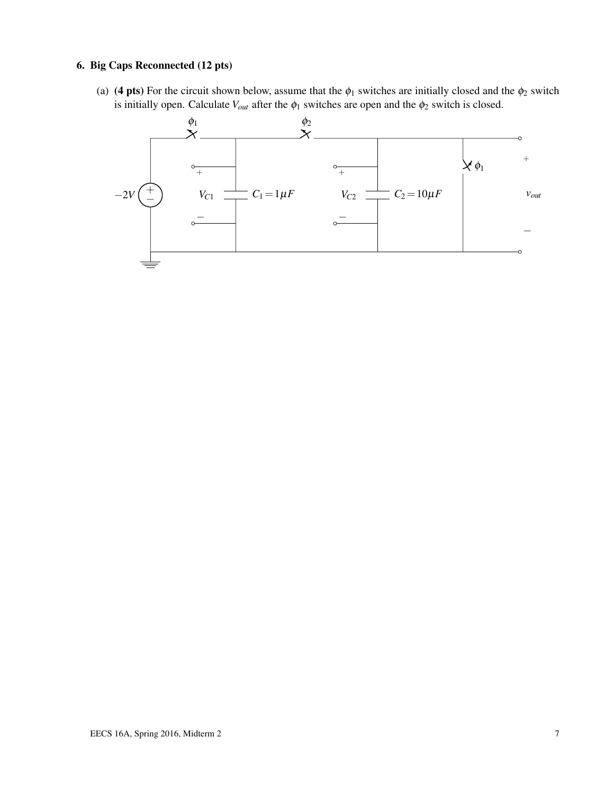#### 6. Big Caps Reconnected (12 pts)

(a) (4 pts) For the circuit shown below, assume that the  $\phi_1$  switches are initially closed and the  $\phi_2$  switch is initially open. Calculate  $V_{out}$  after the  $\phi_1$  switches are open and the  $\phi_2$  switch is closed.

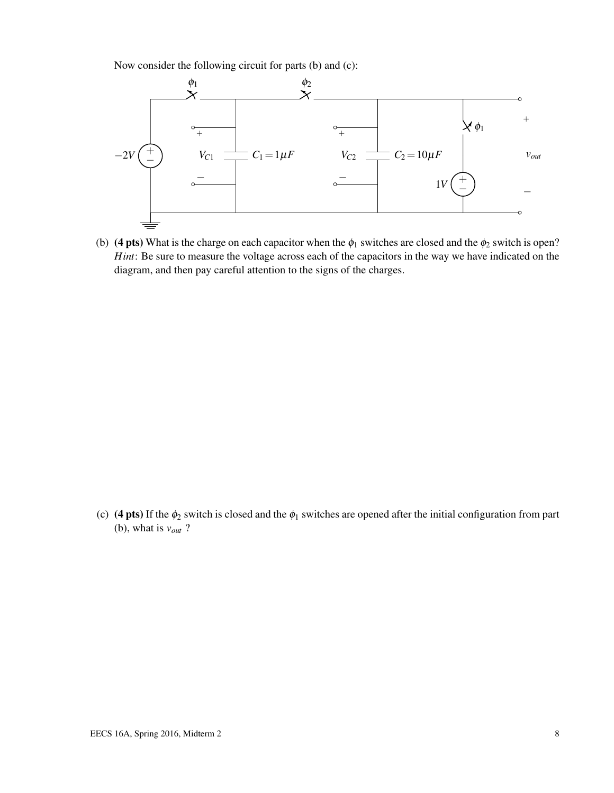Now consider the following circuit for parts (b) and (c):



(b) (4 pts) What is the charge on each capacitor when the  $\phi_1$  switches are closed and the  $\phi_2$  switch is open? *Hint*: Be sure to measure the voltage across each of the capacitors in the way we have indicated on the diagram, and then pay careful attention to the signs of the charges.

(c) (4 pts) If the  $\phi_2$  switch is closed and the  $\phi_1$  switches are opened after the initial configuration from part (b), what is  $v_{out}$  ?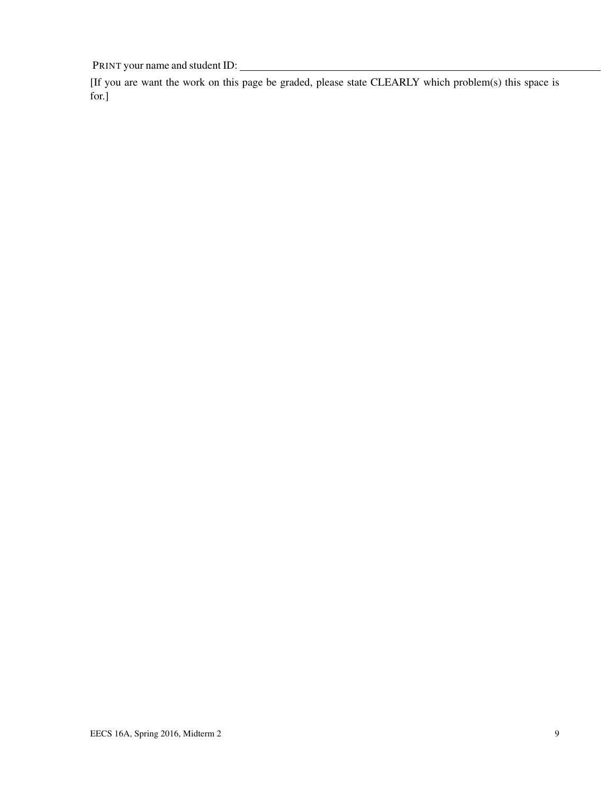PRINT your name and student ID:

[If you are want the work on this page be graded, please state CLEARLY which problem(s) this space is for.]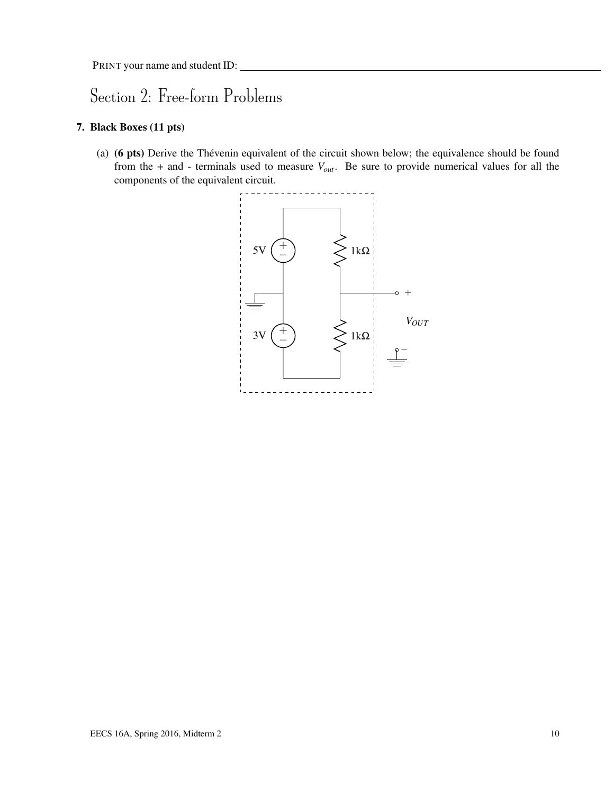# Section 2: Free-form Problems

### 7. Black Boxes (11 pts)

(a) (6 pts) Derive the Thévenin equivalent of the circuit shown below; the equivalence should be found from the + and - terminals used to measure *Vout*. Be sure to provide numerical values for all the components of the equivalent circuit.

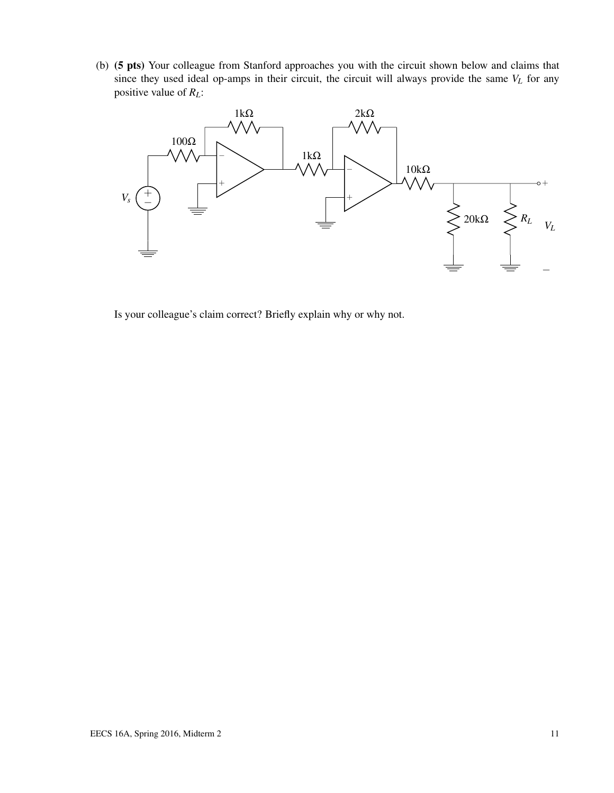(b) (5 pts) Your colleague from Stanford approaches you with the circuit shown below and claims that since they used ideal op-amps in their circuit, the circuit will always provide the same *V<sup>L</sup>* for any positive value of *RL*:



Is your colleague's claim correct? Briefly explain why or why not.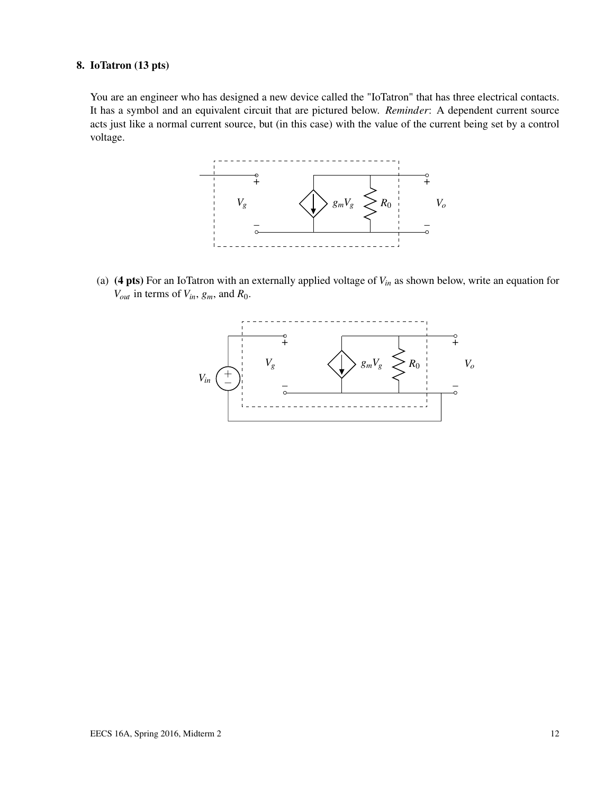#### 8. IoTatron (13 pts)

You are an engineer who has designed a new device called the "IoTatron" that has three electrical contacts. It has a symbol and an equivalent circuit that are pictured below. *Reminder*: A dependent current source acts just like a normal current source, but (in this case) with the value of the current being set by a control voltage.



(a) (4 pts) For an IoTatron with an externally applied voltage of *Vin* as shown below, write an equation for *Vout* in terms of *Vin*, *gm*, and *R*0.

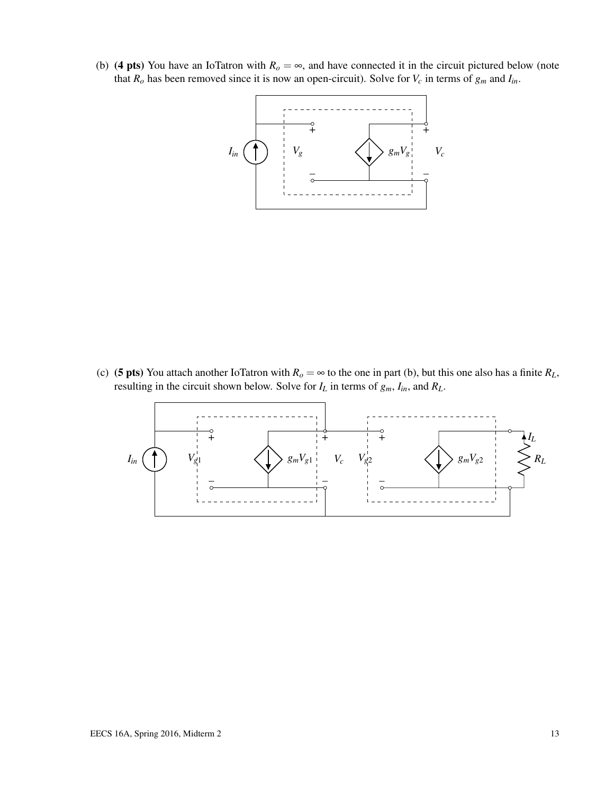(b) (4 pts) You have an IoTatron with  $R<sub>o</sub> = \infty$ , and have connected it in the circuit pictured below (note that  $R_o$  has been removed since it is now an open-circuit). Solve for  $V_c$  in terms of  $g_m$  and  $I_{in}$ .



(c) (5 pts) You attach another IoTatron with  $R_o = \infty$  to the one in part (b), but this one also has a finite  $R_L$ , resulting in the circuit shown below. Solve for  $I_L$  in terms of  $g_m$ ,  $I_{in}$ , and  $R_L$ .

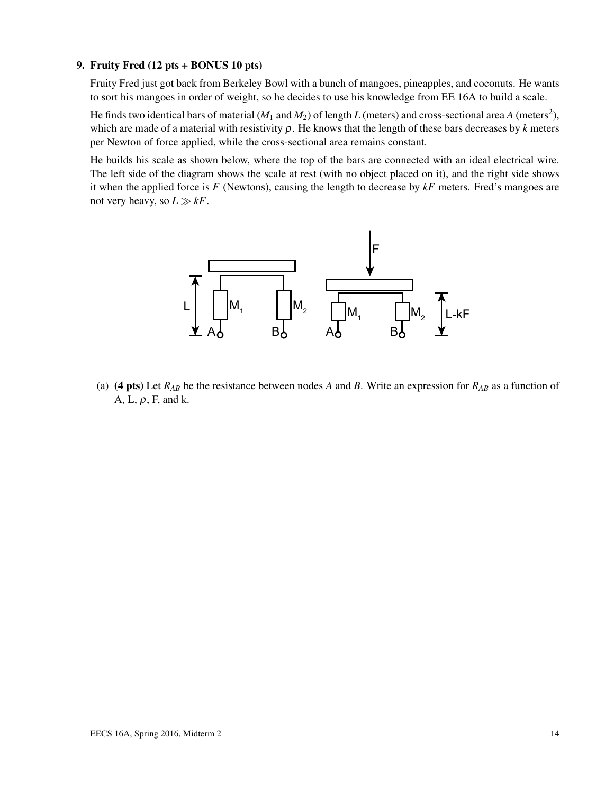#### 9. Fruity Fred (12 pts + BONUS 10 pts)

Fruity Fred just got back from Berkeley Bowl with a bunch of mangoes, pineapples, and coconuts. He wants to sort his mangoes in order of weight, so he decides to use his knowledge from EE 16A to build a scale.

He finds two identical bars of material ( $M_1$  and  $M_2$ ) of length  $L$  (meters) and cross-sectional area  $A$  (meters<sup>2</sup>), which are made of a material with resistivity  $\rho$ . He knows that the length of these bars decreases by *k* meters per Newton of force applied, while the cross-sectional area remains constant.

He builds his scale as shown below, where the top of the bars are connected with an ideal electrical wire. The left side of the diagram shows the scale at rest (with no object placed on it), and the right side shows it when the applied force is *F* (Newtons), causing the length to decrease by *kF* meters. Fred's mangoes are not very heavy, so  $L \gg kF$ .



(a) (4 pts) Let  $R_{AB}$  be the resistance between nodes A and B. Write an expression for  $R_{AB}$  as a function of A, L,  $\rho$ , F, and k.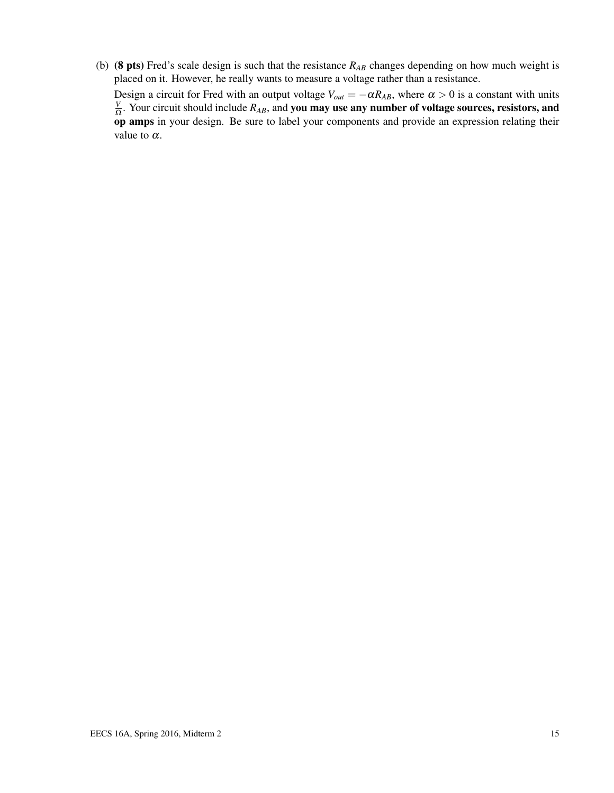(b) (8 pts) Fred's scale design is such that the resistance *RAB* changes depending on how much weight is placed on it. However, he really wants to measure a voltage rather than a resistance.

Design a circuit for Fred with an output voltage  $V_{out} = -\alpha R_{AB}$ , where  $\alpha > 0$  is a constant with units *V*  $\frac{V}{\Omega}$ . Your circuit should include  $R_{AB}$ , and **you may use any number of voltage sources, resistors, and** op amps in your design. Be sure to label your components and provide an expression relating their value to  $\alpha$ .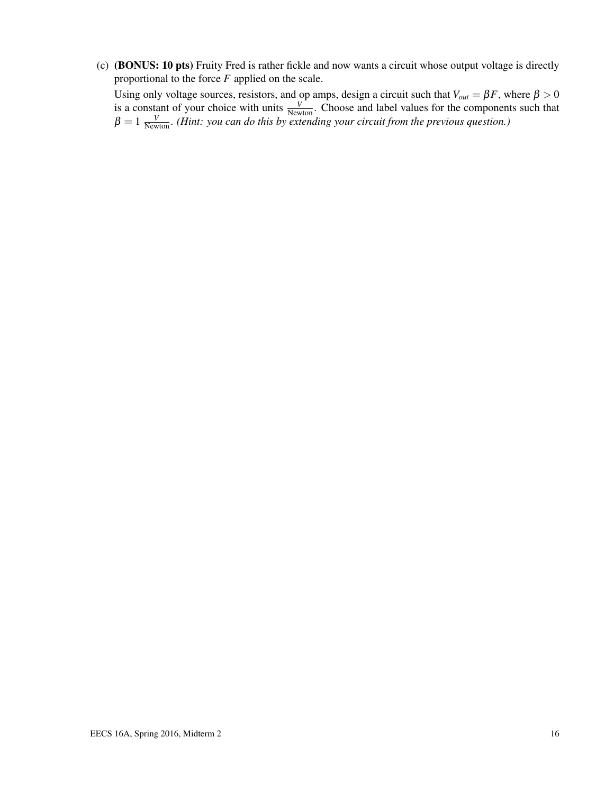(c) (BONUS: 10 pts) Fruity Fred is rather fickle and now wants a circuit whose output voltage is directly proportional to the force *F* applied on the scale.

Using only voltage sources, resistors, and op amps, design a circuit such that  $V_{out} = \beta F$ , where  $\beta > 0$ is a constant of your choice with units  $\frac{V}{N_{\text{ewton}}}$ . Choose and label values for the components such that  $\beta = 1 \frac{V}{N_{\text{ewton}}}$ . *(Hint: you can do this by extending your circuit from the previous question.)*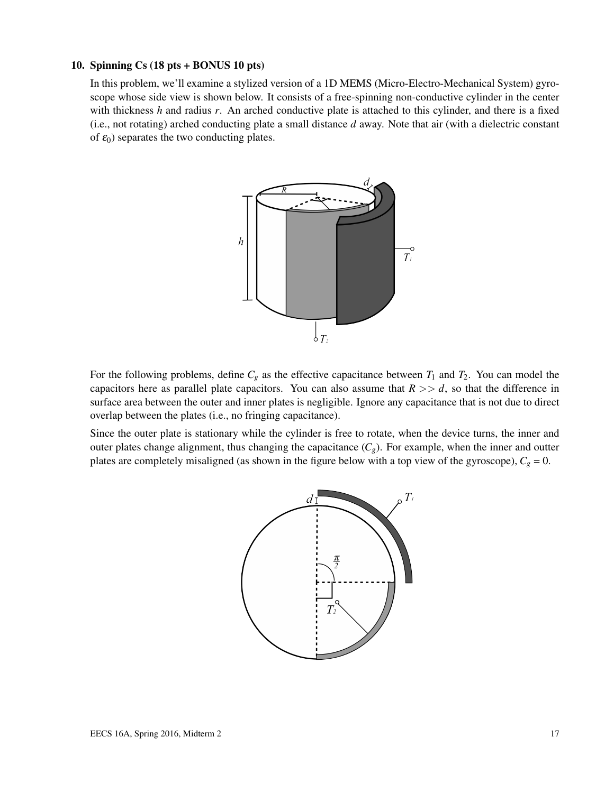#### 10. Spinning Cs (18 pts + BONUS 10 pts)

In this problem, we'll examine a stylized version of a 1D MEMS (Micro-Electro-Mechanical System) gyroscope whose side view is shown below. It consists of a free-spinning non-conductive cylinder in the center with thickness *h* and radius *r*. An arched conductive plate is attached to this cylinder, and there is a fixed (i.e., not rotating) arched conducting plate a small distance *d* away. Note that air (with a dielectric constant of  $\varepsilon_0$ ) separates the two conducting plates.



For the following problems, define  $C_g$  as the effective capacitance between  $T_1$  and  $T_2$ . You can model the capacitors here as parallel plate capacitors. You can also assume that  $R \gg d$ , so that the difference in surface area between the outer and inner plates is negligible. Ignore any capacitance that is not due to direct overlap between the plates (i.e., no fringing capacitance).

Since the outer plate is stationary while the cylinder is free to rotate, when the device turns, the inner and outer plates change alignment, thus changing the capacitance  $(C_g)$ . For example, when the inner and outter plates are completely misaligned (as shown in the figure below with a top view of the gyroscope),  $C_g = 0$ .

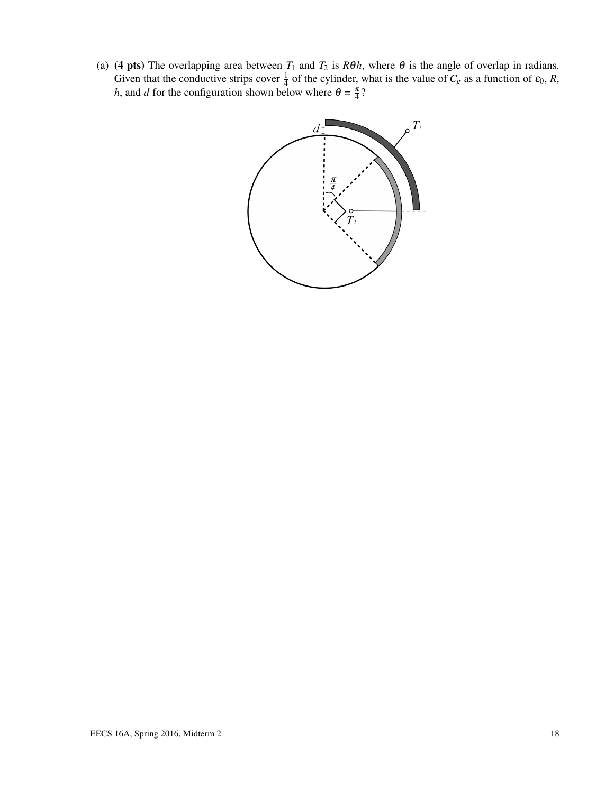(a) (4 pts) The overlapping area between  $T_1$  and  $T_2$  is  $R\theta h$ , where  $\theta$  is the angle of overlap in radians. Given that the conductive strips cover  $\frac{1}{4}$  of the cylinder, what is the value of  $C_g$  as a function of  $\varepsilon_0$ ,  $R$ , *h*, and *d* for the configuration shown below where  $\theta = \frac{\pi}{4}$ ?

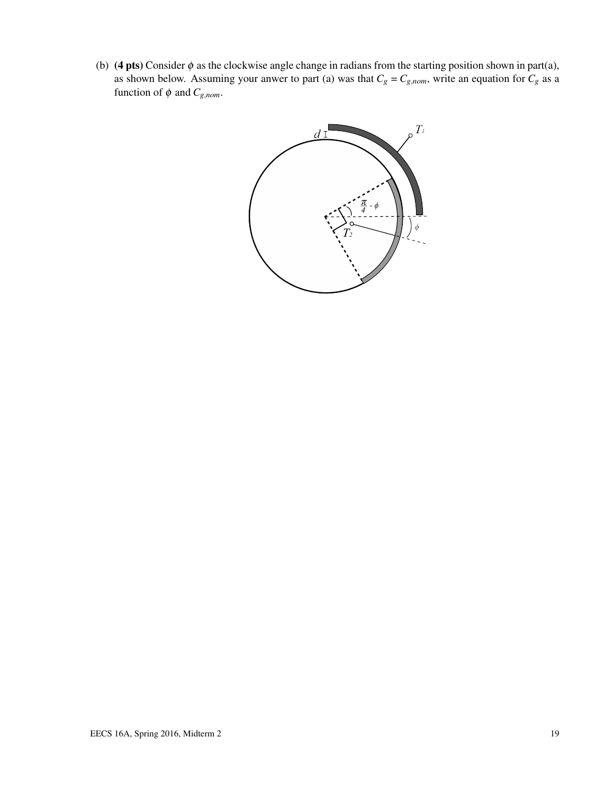(b) (4 pts) Consider  $\phi$  as the clockwise angle change in radians from the starting position shown in part(a), as shown below. Assuming your anwer to part (a) was that  $C_g = C_{g,nom}$ , write an equation for  $C_g$  as a function of  $\phi$  and  $C_{g,nom}$ .

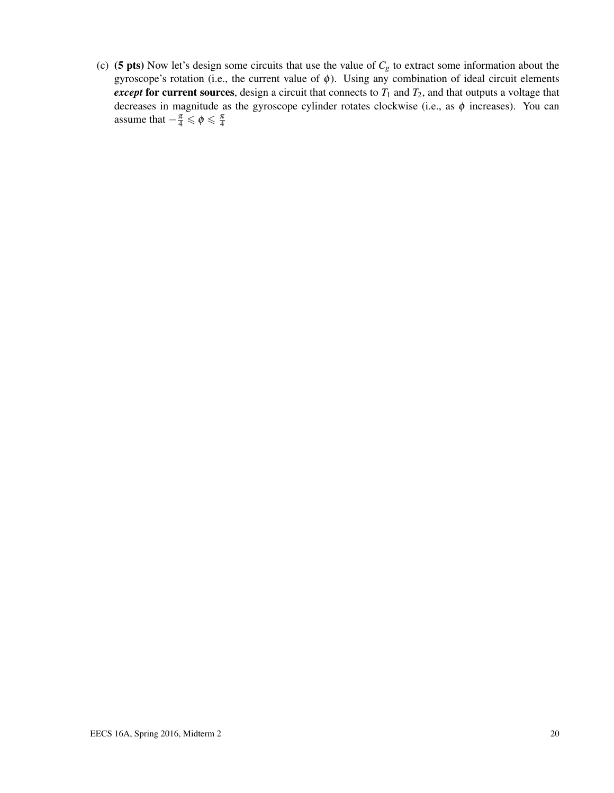(c) (5 pts) Now let's design some circuits that use the value of  $C_g$  to extract some information about the gyroscope's rotation (i.e., the current value of  $\phi$ ). Using any combination of ideal circuit elements *except* for current sources, design a circuit that connects to  $T_1$  and  $T_2$ , and that outputs a voltage that decreases in magnitude as the gyroscope cylinder rotates clockwise (i.e., as  $\phi$  increases). You can assume that  $-\frac{\pi}{4} \leq \phi \leq \frac{\pi}{4}$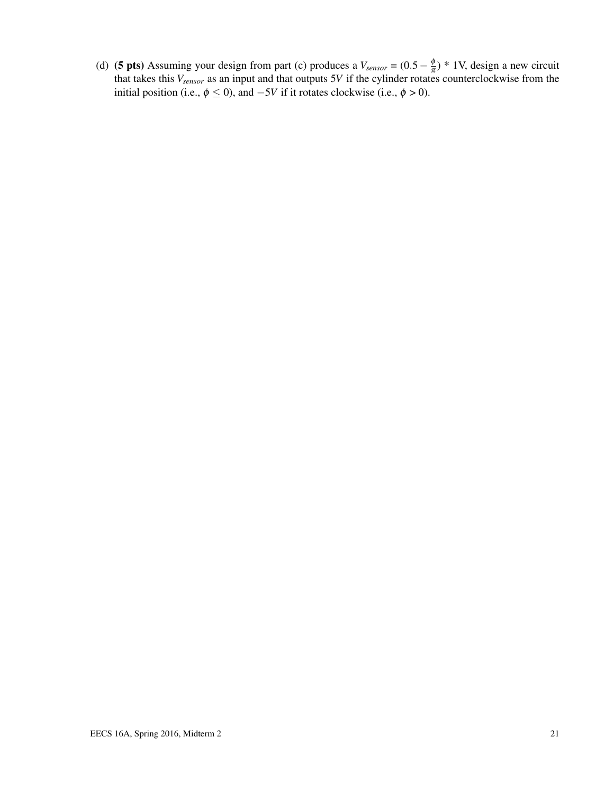(d) (**5 pts**) Assuming your design from part (c) produces a  $V_{sensor} = (0.5 - \frac{\phi}{\pi})$  $(\frac{\varphi}{\pi})$  \* 1V, design a new circuit that takes this *Vsensor* as an input and that outputs 5*V* if the cylinder rotates counterclockwise from the initial position (i.e.,  $\phi \le 0$ ), and  $-5V$  if it rotates clockwise (i.e.,  $\phi > 0$ ).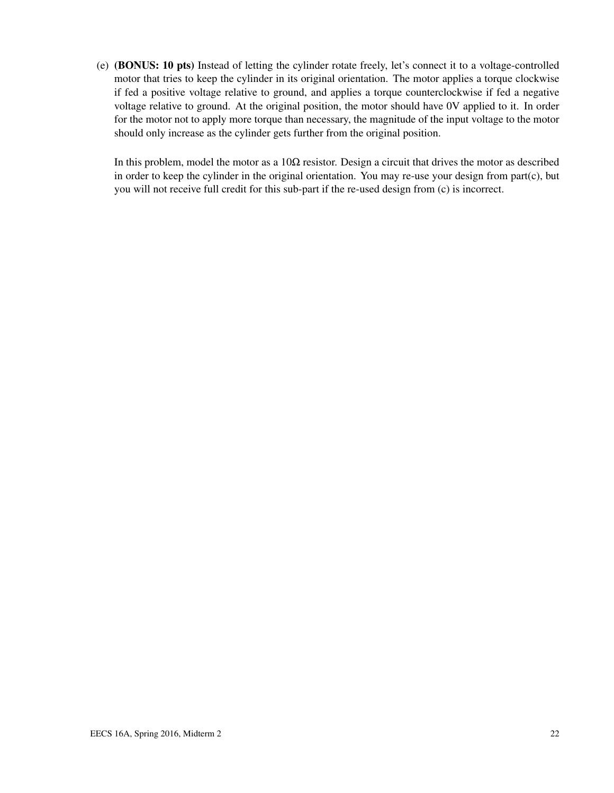(e) (BONUS: 10 pts) Instead of letting the cylinder rotate freely, let's connect it to a voltage-controlled motor that tries to keep the cylinder in its original orientation. The motor applies a torque clockwise if fed a positive voltage relative to ground, and applies a torque counterclockwise if fed a negative voltage relative to ground. At the original position, the motor should have 0V applied to it. In order for the motor not to apply more torque than necessary, the magnitude of the input voltage to the motor should only increase as the cylinder gets further from the original position.

In this problem, model the motor as a  $10\Omega$  resistor. Design a circuit that drives the motor as described in order to keep the cylinder in the original orientation. You may re-use your design from part(c), but you will not receive full credit for this sub-part if the re-used design from (c) is incorrect.